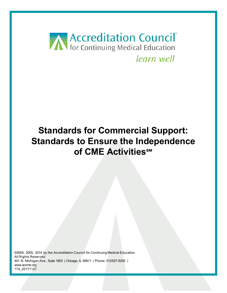

# **Standards for Commercial Support: Standards to Ensure the Independence of CME Activities℠**

©2004, 2005, 2014 by the Accreditation Council for Continuing Medical Education All Rights Reserved 401 N. Michigan Ave., Suite 1850 | Chicago, IL 60611 | Phone: 312/527-9200 | www.accme.org 174\_20171121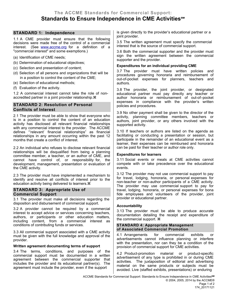# **STANDARD 1: Independence**

1.1 A CME provider must ensure that the following decisions were made free of the control of a commercial interest. (See [www.accme.org](http://www.accme.org/) for a definition of a "commercial interest" and some exemptions.)

- (a) Identification of CME needs;
- (b) Determination of educational objectives;
- (c) Selection and presentation of content;
- (d) Selection of all persons and organizations that will be in a position to control the content of the CME;
- (e) Selection of educational methods;
- (f) Evaluation of the activity.

1.2 A commercial interest cannot take the role of nonaccredited partner in a joint provider relationship.

# **STANDARD 2: Resolution of Personal Conflicts of Interest**

2.1 The provider must be able to show that everyone who is in a position to control the content of an education activity has disclosed all relevant financial relationships with any commercial interest to the provider. The ACCME defines "'relevant' financial relationships" as financial relationships in any amount occurring within the past 12 months that create a conflict of interest.

2.2 An individual who refuses to disclose relevant financial relationships will be disqualified from being a planning committee member, a teacher, or an author of CME, and cannot have control of, or responsibility for, the development, management, presentation or evaluation of the CME activity.

2.3 The provider must have implemented a mechanism to identify and resolve all conflicts of interest prior to the education activity being delivered to learners.

## **STANDARD 3: Appropriate Use of Commercial Support**

3.1 The provider must make all decisions regarding the disposition and disbursement of commercial support.

3.2 A provider cannot be required by a commercial interest to accept advice or services concerning teachers, authors, or participants or other education matters, including content, from a commercial interest as conditions of contributing funds or services.

3.3 All commercial support associated with a CME activity must be given with the full knowledge and approval of the provider.

### **Written agreement documenting terms of support**

3.4 The terms, conditions, and purposes of the commercial support must be documented in a written agreement between the commercial supporter that includes the provider and its educational partner(s). The agreement must include the provider, even if the support

is given directly to the provider's educational partner or a joint provider.

3.5 The written agreement must specify the commercial interest that is the source of commercial support.

3.6 Both the commercial supporter and the provider must sign the written agreement between the commercial supporter and the provider.

## **Expenditures for an individual providing CME**

3.7 The provider must have written policies and procedures governing honoraria and reimbursement of out-of-pocket expenses for planners, teachers and authors.

3.8 The provider, the joint provider, or designated educational partner must pay directly any teacher or author honoraria or reimbursement of out-of–pocket expenses in compliance with the provider's written policies and procedures.

3.9 No other payment shall be given to the director of the activity, planning committee members, teachers or authors, joint provider, or any others involved with the supported activity.

3.10 If teachers or authors are listed on the agenda as facilitating or conducting a presentation or session, but participate in the remainder of an educational event as a learner, their expenses can be reimbursed and honoraria can be paid for their teacher or author role only.

## **Expenditures for learners**

3.11 Social events or meals at CME activities cannot compete with or take precedence over the educational events.

3.12 The provider may not use commercial support to pay for travel, lodging, honoraria, or personal expenses for non-teacher or non-author participants of a CME activity. The provider may use commercial support to pay for travel, lodging, honoraria, or personal expenses for bona fide employees and volunteers of the provider, joint provider or educational partner.

## **Accountability**

3.13 The provider must be able to produce accurate documentation detailing the receipt and expenditure of the commercial support.

#### **STANDARD 4: Appropriate Management of Associated Commercial Promotion**

4.1 Arrangements for commercial exhibits or advertisements cannot influence planning or interfere with the presentation, nor can they be a condition of the provision of commercial support for CME activities.

4.2 Product-promotion material or product-specific advertisement of any type is prohibited in or during CME activities. The juxtaposition of editorial and advertising material on the same products or subjects must be avoided. Live (staffed exhibits, presentations) or enduring

ACCME Standards for Commercial Support: Standards to Ensure Independence in CME Activities**SM** © 2004, 2005, 2014 by the ACCME® Page 1 of 2 174\_20171121